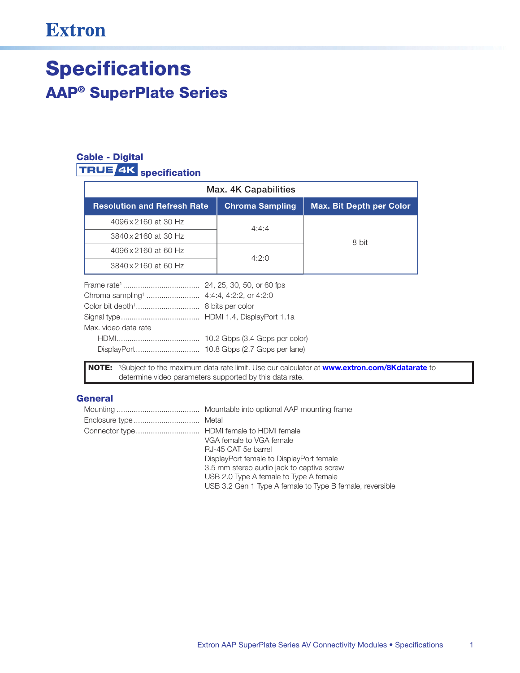## **Extron**

# **Specifications AAP<sup>®</sup> SuperPlate Series**

## **Cable - Digital TRUE 4K** specification

| Max. 4K Capabilities                                                        |                        |                                 |  |  |  |
|-----------------------------------------------------------------------------|------------------------|---------------------------------|--|--|--|
| <b>Resolution and Refresh Rate</b>                                          | <b>Chroma Sampling</b> | <b>Max. Bit Depth per Color</b> |  |  |  |
| 4096 x 2160 at 30 Hz                                                        | 4:4:4                  |                                 |  |  |  |
| 3840 x 2160 at 30 Hz                                                        |                        | 8 bit                           |  |  |  |
| 4096 x 2160 at 60 Hz                                                        |                        |                                 |  |  |  |
| 3840 x 2160 at 60 Hz                                                        | 4:2:0                  |                                 |  |  |  |
| Chroma sampling <sup>1</sup> 4:4:4, 4:2:2, or 4:2:0<br>Max. video data rate |                        |                                 |  |  |  |
|                                                                             |                        |                                 |  |  |  |

#### **General**

| VGA female to VGA female                                 |
|----------------------------------------------------------|
| RJ-45 CAT 5e barrel                                      |
| DisplayPort female to DisplayPort female                 |
| 3.5 mm stereo audio jack to captive screw                |
| USB 2.0 Type A female to Type A female                   |
| USB 3.2 Gen 1 Type A female to Type B female, reversible |

determine video parameters supported by this data rate.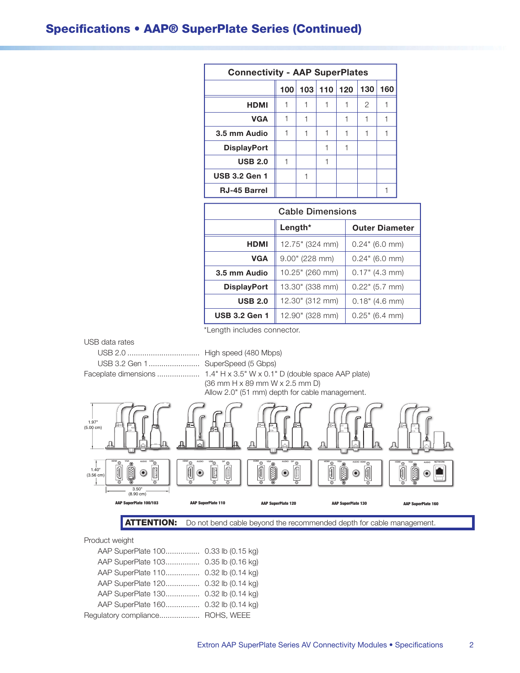### **Specifications • AAP® SuperPlate Series (Continued)**

| <b>Connectivity - AAP SuperPlates</b> |     |   |             |     |     |     |
|---------------------------------------|-----|---|-------------|-----|-----|-----|
|                                       | 100 |   | $103$   110 | 120 | 130 | 160 |
| <b>HDMI</b>                           |     |   |             |     | 2   |     |
| <b>VGA</b>                            |     |   |             |     |     |     |
| 3.5 mm Audio                          |     | 1 |             |     |     |     |
| <b>DisplayPort</b>                    |     |   |             |     |     |     |
| <b>USB 2.0</b>                        |     |   |             |     |     |     |
| <b>USB 3.2 Gen 1</b>                  |     |   |             |     |     |     |
| <b>RJ-45 Barrel</b>                   |     |   |             |     |     |     |

| <b>Cable Dimensions</b> |                   |                       |  |  |
|-------------------------|-------------------|-----------------------|--|--|
|                         | Length*           | <b>Outer Diameter</b> |  |  |
| <b>HDMI</b>             | 12.75" (324 mm)   | $0.24$ " (6.0 mm)     |  |  |
| <b>VGA</b>              | $9.00$ " (228 mm) | $0.24$ " (6.0 mm)     |  |  |
| 3.5 mm Audio            | 10.25" (260 mm)   | 0.17" (4.3 mm)        |  |  |
| <b>DisplayPort</b>      | 13.30" (338 mm)   | $0.22$ " (5.7 mm)     |  |  |
| <b>USB 2.0</b>          | 12.30" (312 mm)   | 0.18" (4.6 mm)        |  |  |
| <b>USB 3.2 Gen 1</b>    | 12.90" (328 mm)   | $0.25$ " (6.4 mm)     |  |  |

\*Length includes connector.



AAP SuperPlate 100/103

 $3.50^{\circ}$ <br>(8.90 cm)

**ATTENTION:** Do not bend cable beyond the recommended depth for cable management.

AAP SuperPlate 120

Product weight

| AAP SuperPlate 100 0.33 lb (0.15 kg) |  |
|--------------------------------------|--|
| AAP SuperPlate 103 0.35 lb (0.16 kg) |  |
| AAP SuperPlate 110 0.32 lb (0.14 kg) |  |
| AAP SuperPlate 120 0.32 lb (0.14 kg) |  |
| AAP SuperPlate 130 0.32 lb (0.14 kg) |  |
| AAP SuperPlate 160 0.32 lb (0.14 kg) |  |
| Regulatory compliance ROHS, WEEE     |  |
|                                      |  |

AAP SuperPlate 110

**AAP SuperPlate 130** 

**AAP SuperPlate 160**